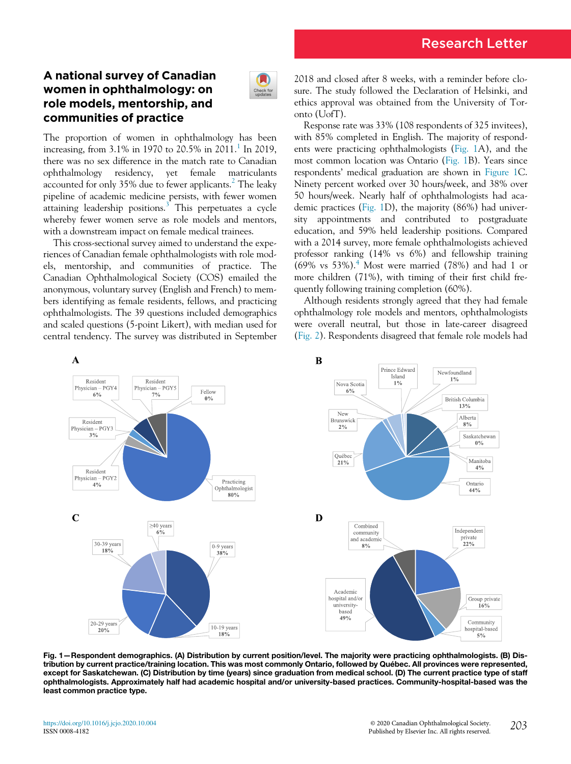# A national survey of Canadian women in ophthalmology: on role models, mentorship, and communities of practice



The proportion of women in ophthalmology has been increasing, from  $3.1\%$  $3.1\%$  $3.1\%$  in 1970 to 20.5% in 2011.<sup>1</sup> In 2019, there was no sex difference in the match rate to Canadian ophthalmology residency, yet female matriculants accounted for only  $35\%$  due to fewer applicants.<sup>[2](#page-1-1)</sup> The leaky pipeline of academic medicine persists, with fewer women attaining leadership positions. $3$  This perpetuates a cycle whereby fewer women serve as role models and mentors, with a downstream impact on female medical trainees.

This cross-sectional survey aimed to understand the experiences of Canadian female ophthalmologists with role models, mentorship, and communities of practice. The Canadian Ophthalmological Society (COS) emailed the anonymous, voluntary survey (English and French) to members identifying as female residents, fellows, and practicing ophthalmologists. The 39 questions included demographics and scaled questions (5-point Likert), with median used for central tendency. The survey was distributed in September

2018 and closed after 8 weeks, with a reminder before closure. The study followed the Declaration of Helsinki, and ethics approval was obtained from the University of Toronto (UofT).

Response rate was 33% (108 respondents of 325 invitees), with 85% completed in English. The majority of respondents were practicing ophthalmologists ([Fig. 1A](#page-0-0)), and the most common location was Ontario [\(Fig. 1B](#page-0-0)). Years since respondents' medical graduation are shown in [Figure 1C](#page-0-0). Ninety percent worked over 30 hours/week, and 38% over 50 hours/week. Nearly half of ophthalmologists had academic practices [\(Fig. 1](#page-0-0)D), the majority (86%) had university appointments and contributed to postgraduate education, and 59% held leadership positions. Compared with a 2014 survey, more female ophthalmologists achieved professor ranking (14% vs 6%) and fellowship training  $(69\% \text{ vs } 53\%).$ <sup>[4](#page-2-1)</sup> Most were married  $(78\%)$  and had 1 or more children (71%), with timing of their first child frequently following training completion (60%).

Although residents strongly agreed that they had female ophthalmology role models and mentors, ophthalmologists were overall neutral, but those in late-career disagreed [\(Fig. 2\)](#page-1-2). Respondents disagreed that female role models had

<span id="page-0-0"></span>

Fig. 1—Respondent demographics. (A) Distribution by current position/level. The majority were practicing ophthalmologists. (B) Distribution by current practice/training location. This was most commonly Ontario, followed by Québec. All provinces were represented, except for Saskatchewan. (C) Distribution by time (years) since graduation from medical school. (D) The current practice type of staff ophthalmologists. Approximately half had academic hospital and/or university-based practices. Community-hospital-based was the least common practice type.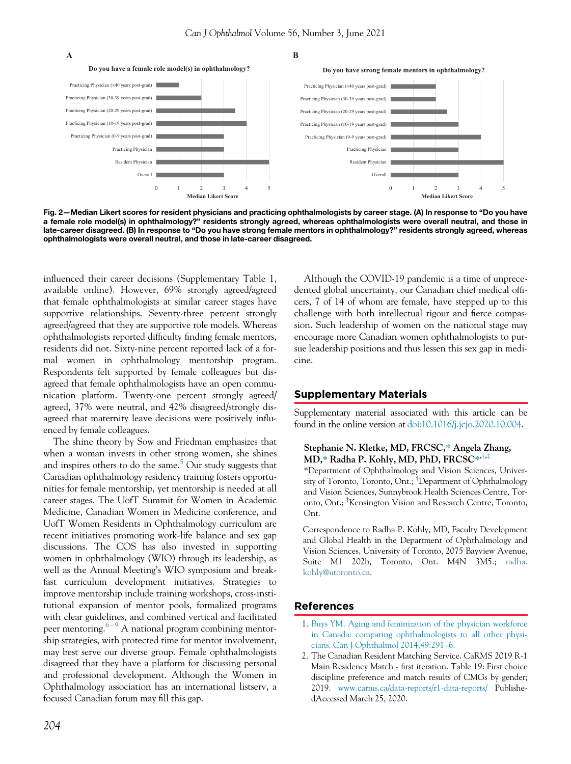

<span id="page-1-2"></span>**A B**

**Do you have strong female mentors in ophthalmology?**



Fig. 2—Median Likert scores for resident physicians and practicing ophthalmologists by career stage. (A) In response to "Do you have a female role model(s) in ophthalmology?" residents strongly agreed, whereas ophthalmologists were overall neutral, and those in late-career disagreed. (B) In response to "Do you have strong female mentors in ophthalmology?" residents strongly agreed, whereas ophthalmologists were overall neutral, and those in late-career disagreed.

influenced their career decisions (Supplementary Table 1, available online). However, 69% strongly agreed/agreed that female ophthalmologists at similar career stages have supportive relationships. Seventy-three percent strongly agreed/agreed that they are supportive role models. Whereas ophthalmologists reported difficulty finding female mentors, residents did not. Sixty-nine percent reported lack of a formal women in ophthalmology mentorship program. Respondents felt supported by female colleagues but disagreed that female ophthalmologists have an open communication platform. Twenty-one percent strongly agreed/ agreed, 37% were neutral, and 42% disagreed/strongly disagreed that maternity leave decisions were positively influenced by female colleagues.

<span id="page-1-1"></span><span id="page-1-0"></span>The shine theory by Sow and Friedman emphasizes that when a woman invests in other strong women, she shines and inspires others to do the same. $5$  Our study suggests that Canadian ophthalmology residency training fosters opportunities for female mentorship, yet mentorship is needed at all career stages. The UofT Summit for Women in Academic Medicine, Canadian Women in Medicine conference, and UofT Women Residents in Ophthalmology curriculum are recent initiatives promoting work-life balance and sex gap discussions. The COS has also invested in supporting women in ophthalmology (WIO) through its leadership, as well as the Annual Meeting's WIO symposium and breakfast curriculum development initiatives. Strategies to improve mentorship include training workshops, cross-institutional expansion of mentor pools, formalized programs with clear guidelines, and combined vertical and facilitated peer mentoring. $6-9$  $6-9$  $6-9$  A national program combining mentorship strategies, with protected time for mentor involvement, may best serve our diverse group. Female ophthalmologists disagreed that they have a platform for discussing personal and professional development. Although the Women in Ophthalmology association has an international listserv, a focused Canadian forum may fill this gap.

Although the COVID-19 pandemic is a time of unprecedented global uncertainty, our Canadian chief medical officers, 7 of 14 of whom are female, have stepped up to this challenge with both intellectual rigour and fierce compassion. Such leadership of women on the national stage may encourage more Canadian women ophthalmologists to pursue leadership positions and thus lessen this sex gap in medicine.

#### Supplementary Materials

Supplementary material associated with this article can be found in the online version at [doi:10.1016/j.jcjo.2020.10.004](https://doi.org/10.1016/j.jcjo.2020.10.004).

#### Stephanie N. Kletke, MD, FRCSC,\* Angela Zhang, MD,\* Radha P. Kohly, MD, PhD, FRCSC\*, $\ddagger$ , $\ddagger$

\*Department of Ophthalmology and Vision Sciences, University of Toronto, Toronto, Ont.; <sup>T</sup>Department of Ophthalmology and Vision Sciences, Sunnybrook Health Sciences Centre, Toronto, Ont.; <sup>‡</sup>Kensington Vision and Research Centre, Toronto, Ont.

Correspondence to Radha P. Kohly, MD, Faculty Development and Global Health in the Department of Ophthalmology and Vision Sciences, University of Toronto, 2075 Bayview Avenue, Suite M1 202b, Toronto, Ont. M4N 3M5.; [radha.](mailto:radha.kohly@utoronto.ca) [kohly@utoronto.ca](mailto:radha.kohly@utoronto.ca).

### References

- 1. [Buys YM. Aging and feminization of the physician workforce](http://refhub.elsevier.com/S0008-4182(20)30774-2/sbref0001) [in Canada: comparing ophthalmologists to all other physi](http://refhub.elsevier.com/S0008-4182(20)30774-2/sbref0001)[cians. Can J Ophthalmol 2014;49:291](http://refhub.elsevier.com/S0008-4182(20)30774-2/sbref0001)–6.
- 2. The Canadian Resident Matching Service. CaRMS 2019 R-1 Main Residency Match - first iteration. Table 19: First choice discipline preference and match results of CMGs by gender; 2019. [www.carms.ca/data-reports/r1-data-reports/](http://www.carms.ca/data-reports/r1-data-reports/) PublishedAccessed March 25, 2020.